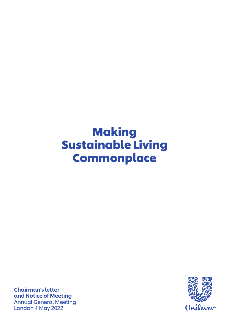# **Making** Sustainable Living **Commonplace**

Chairman's letter and Notice of Meeting Annual General Meeting London 4 May 2022

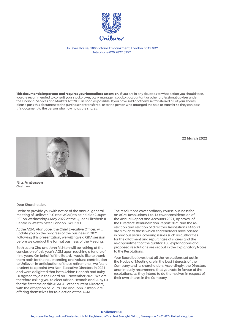

Unilever House, 100 Victoria Embankment, London EC4Y 0DY Telephone 020 7822 5252

This document is important and requires your immediate attention. If you are in any doubt as to what action you should take, you are recommended to consult your stockbroker, bank manager, solicitor, accountant or other professional adviser under the Financial Services and Markets Act 2000 as soon as possible. If you have sold or otherwise transferred all of your shares, please pass this document to the purchaser or transferee, or to the person who arranged the sale or transfer so they can pass this document to the person who now holds the shares.

22 March 2022



Nils Andersen Chairman

Dear Shareholder,

I write to provide you with notice of the annual general meeting of Unilever PLC (the 'AGM') to be held at 2.30pm BST on Wednesday 4 May 2022 at the Queen Elizabeth II Centre in Westminster, London SW1P 3EE.

At the AGM, Alan Jope, the Chief Executive Officer, will update you on the progress of the business in 2021. Following this presentation, we will have a Q&A session before we conduct the formal business of the Meeting.

Both Laura Cha and John Rishton will be retiring at the conclusion of this year's AGM upon reaching a tenure of nine years. On behalf of the Board, I would like to thank them both for their outstanding and valued contribution to Unilever. In anticipation of these retirements, we felt it prudent to appoint two Non-Executive Directors in 2021 and were delighted that both Adrian Hennah and Ruby Lu agreed to join the Board on 1 November 2021. We are therefore asking you to elect Adrian Hennah and Ruby Lu for the first time at this AGM. All other current Directors, with the exception of Laura Cha and John Rishton, are offering themselves for re-election at the AGM.

The resolutions cover ordinary course business for an AGM. Resolutions 1 to 13 cover consideration of the Annual Report and Accounts 2021, approval of the Directors' Remuneration Report 2021 and the reelection and election of directors. Resolutions 14 to 21 are similar to those which shareholders have passed in previous years, covering issues such as authorities for the allotment and repurchase of shares and the re-appointment of the auditor. Full explanations of all proposed resolutions are set out in the Explanatory Notes to the Resolutions.

Your Board believes that all the resolutions set out in the Notice of Meeting are in the best interests of the Company and its shareholders. Accordingly, the Directors unanimously recommend that you vote in favour of the resolutions, as they intend to do themselves in respect of their own shares in the Company.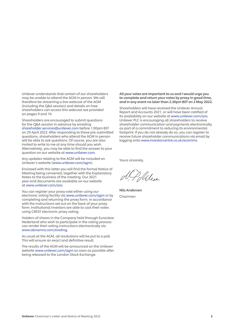Unilever understands that certain of our shareholders may be unable to attend the AGM in person. We will therefore be streaming a live webcast of the AGM (including the Q&A session) and details on how shareholders can access this webcast are provided on pages 9 and 10.

Shareholders are encouraged to submit questions for the Q&A session in advance by emailing shareholder.services@unilever.com before 1.00pm BST on 29 April 2022. After responding to these pre-submitted questions, shareholders who attend the AGM in person will be able to ask questions. Of course, you are also invited to write to me at any time should you wish. Alternatively, you may be able to find the answer to your question on our website at www.unilever.com.

Any updates relating to the AGM will be included on Unilever's website (www.unilever.com/agm).

Enclosed with this letter you will find the formal Notice of Meeting being convened, together with the Explanatory Notes to the business of the meeting. Our 2021 year-end documents are available on our website at www.unilever.com/ara.

You can register your proxy vote either using our electronic voting facility via www.unilever.com/agm or by completing and returning the proxy form, in accordance with the instructions set out on the back of your proxy form. Institutional investors are able to cast their votes using CREST electronic proxy voting.

Holders of shares in the Company held through Euroclear Nederland who wish to participate in the voting process can render their voting instructions electronically via www.abnamro.com/evoting.

As usual at the AGM, all resolutions will be put to a poll. This will ensure an exact and definitive result.

The results of the AGM will be announced on the Unilever website www.unilever.com/agm as soon as possible after being released to the London Stock Exchange.

All your votes are important to us and I would urge you to complete and return your votes by proxy in good time, and in any event no later than 2.30pm BST on 2 May 2022.

Shareholders will have received the Unilever Annual Report and Accounts 2021, or will have been notified of its availability on our website at www.unilever.com/ara. Unilever PLC is encouraging all shareholders to receive shareholder communication and payments electronically as part of a commitment to reducing its environmental footprint. If you do not already do so, you can register to receive future shareholder communications via email by logging onto www.investorcentre.co.uk/ecomms.

Yours sincerely,

Pobles

Nils Andersen Chairman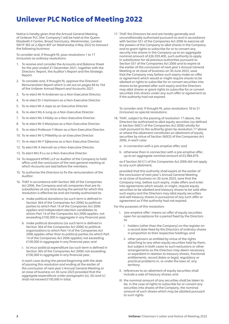## Unilever PLC Notice of Meeting 2022

Notice is hereby given that the Annual General Meeting of Unilever PLC (the 'Company') will be held at the Queen Elizabeth II Centre, Broad Sanctuary, Westminster, London SW1P 3EE at 2.30pm BST on Wednesday 4 May 2022 to transact the following business:

To consider and, if thought fit, pass resolutions 1 to 17 (inclusive) as ordinary resolutions:

- 1. To receive and consider the Accounts and Balance Sheet for the year ended 31 December 2021, together with the Directors' Report, the Auditor's Report and the Strategic Report.
- 2. To consider and, if thought fit, approve the Directors' Remuneration Report which is set out on pages 84 to 104 of the Unilever Annual Report and Accounts 2021.
- 3. To re-elect Mr N Andersen as a Non-Executive Director.
- 4. To re-elect Dr J Hartmann as a Non-Executive Director.
- 5. To re-elect Mr A Jope as an Executive Director.
- 6. To re-elect Ms A Jung as a Non-Executive Director.
- 7. To re-elect Ms S Kilsby as a Non-Executive Director.
- 8. To re-elect Mr S Masiyiwa as a Non-Executive Director.
- 9. To re-elect Professor Y Moon as a Non-Executive Director.
- 10. To re-elect Mr G Pitkethly as an Executive Director.
- 11. To re-elect Mr F Sijbesma as a Non-Executive Director.
- 12. To elect Mr A Hennah as a Non-Executive Director.
- 13. To elect Mrs R Lu as a Non-Executive Director.
- 14. To reappoint KPMG LLP as Auditor of the Company to hold office until the conclusion of the next general meeting at which Accounts are laid before the members.
- 15. To authorise the Directors to fix the remuneration of the Auditor.
- 16. THAT in accordance with Section 366 of the Companies Act 2006, the Company and all companies that are its subsidiaries at any time during the period for which this resolution is effective be and are hereby authorised to:
	- a make political donations (as such term is defined in Section 364 of the Companies Act 2006) to political parties to which Part 14 of the Companies Act 2006 applies and independent election candidates to whom Part 14 of the Companies Act 2006 applies, not exceeding £100,000 in aggregate in any financial year;
	- b make political donations (as such term is defined in Section 364 of the Companies Act 2006) to political organisations to which Part 14 of the Companies Act 2006 applies other than to political parties (to which Part 14 of the Companies Act 2006 applies) not exceeding £100,000 in aggregate in any financial year; and
	- c to incur political expenditure (as such term is defined in Section 365 of the Companies Act 2006) not exceeding £100,000 in aggregate in any financial year,

 in each case during the period beginning with the date of passing this resolution and ending at the earlier of the conclusion of next year's Annual General Meeting or at close of business on 30 June 2023 provided that the aggregate expenditure under paragraphs (a), (b) and (c) shall not exceed £100,000 in total.

17. THAT the Directors be and are hereby generally and unconditionally authorised pursuant to and in accordance with Section 551 of the Companies Act 2006 to exercise all the powers of the Company to allot shares in the Company and to grant rights to subscribe for or to convert any security into shares in the Company up to an aggregate nominal amount of £26,559,400, such authority to apply in substitution for all previous authorities pursuant to Section 551 of the Companies Act 2006 and to expire at the earlier of the conclusion of next year's Annual General Meeting or at close of business on 30 June 2023, save that the Company may before such expiry make an offer or agreement which would or might require shares to be allotted or rights to subscribe for or convert securities into shares to be granted after such expiry and the Directors may allot shares or grant rights to subscribe for or convert securities into shares under any such offer or agreement as if the authority had not expired.

 To consider and, if thought fit, pass resolutions 18 to 21 (inclusive) as special resolutions:

- 18. THAT, subject to the passing of resolution 17 above, the Directors be authorised to allot equity securities (as defined in Section 560(1) of the Companies Act 2006) wholly for cash pursuant to the authority given by resolution 17 above or where the allotment constitutes an allotment of equity securities by virtue of Section 560(3) of the Companies Act 2006, in each case:
	- a in connection with a pre-emptive offer; and
	- b otherwise than in connection with a pre-emptive offer, up to an aggregate nominal amount of £3,984,879;

 as if Section 561(1) of the Companies Act 2006 did not apply to any such allotment;

 provided that this authority shall expire at the earlier of the conclusion of next year's Annual General Meeting or at close of business on 30 June 2023, save that the Company may, before such expiry, make offers and enter into agreements which would, or might, require equity securities to be allotted and treasury shares to be sold after such expiry and the Directors may allot equity securities and sell treasury shares in pursuance of any such offer or agreement as if the authority had not expired.

For the purposes of this resolution:

- I. 'pre-emptive offer' means an offer of equity securities open for acceptance for a period fixed by the Directors to:
	- i holders (other than the Company) on the register on a record date fixed by the Directors of ordinary shares in proportion to their respective holdings; and
	- ii other persons so entitled by virtue of the rights attaching to any other equity securities held by them, but subject in both cases to such exclusions or other arrangements as the Directors may deem necessary or expedient in relation to treasury shares, fractional entitlements, record dates or legal, regulatory or practical problems in, or under the laws of, any territory;
- II. references to an allotment of equity securities shall include a sale of treasury shares; and
- III. the nominal amount of any securities shall be taken to be, in the case of rights to subscribe for or convert any securities into shares of the Company, the nominal amount of such shares which may be allotted pursuant to such rights.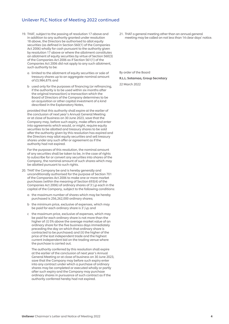### Unilever PLC Notice of Meeting 2022 continued

- 19. THAT, subject to the passing of resolution 17 above and in addition to any authority granted under resolution 18 above, the Directors be authorised to allot equity securities (as defined in Section 560(1) of the Companies Act 2006) wholly for cash pursuant to the authority given by resolution 17 above or where the allotment constitutes an allotment of equity securities by virtue of Section 560(3) of the Companies Act 2006 as if Section 561(1) of the Companies Act 2006 did not apply to any such allotment, such authority to be:
	- a limited to the allotment of equity securities or sale of treasury shares up to an aggregate nominal amount of £3,984,879; and
	- b used only for the purposes of financing (or refinancing, if the authority is to be used within six months after the original transaction) a transaction which the Board of Directors of the Company determines to be an acquisition or other capital investment of a kind described in the Explanatory Notes,

 provided that this authority shall expire at the earlier of the conclusion of next year's Annual General Meeting or at close of business on 30 June 2023, save that the Company may, before such expiry, make offers and enter into agreements which would, or might, require equity securities to be allotted and treasury shares to be sold after the authority given by this resolution has expired and the Directors may allot equity securities and sell treasury shares under any such offer or agreement as if the authority had not expired.

 For the purposes of this resolution, the nominal amount of any securities shall be taken to be, in the case of rights to subscribe for or convert any securities into shares of the Company, the nominal amount of such shares which may be allotted pursuant to such rights.

- 20. THAT the Company be and is hereby generally and unconditionally authorised for the purpose of Section 701 of the Companies Act 2006 to make one or more market purchases (within the meaning of Section 693(4) of the Companies Act 2006) of ordinary shares of 31/9p each in the capital of the Company, subject to the following conditions:
	- a the maximum number of shares which may be hereby purchased is 256,262,000 ordinary shares;
	- b the minimum price, exclusive of expenses, which may be paid for each ordinary share is  $3^{1}/_{9}$ p; and
	- c the maximum price, exclusive of expenses, which may be paid for each ordinary share is not more than the higher of: (i) 5% above the average market value of an ordinary share for the five business days immediately preceding the day on which that ordinary share is contracted to be purchased; and (ii) the higher of the price of the last independent trade and the highest current independent bid on the trading venue where the purchase is carried out.

 The authority conferred by this resolution shall expire at the earlier of the conclusion of next year's Annual General Meeting or at close of business on 30 June 2023, save that the Company may before such expiry enter into any contract under which a purchase of ordinary shares may be completed or executed wholly or partly after such expiry and the Company may purchase ordinary shares in pursuance of such contract as if the authority conferred hereby had not expired.

21. THAT a general meeting other than an annual general meeting may be called on not less than 14 clear days' notice.

By order of the Board R.L.L. Sotamaa, Group Secretary

22 March 2022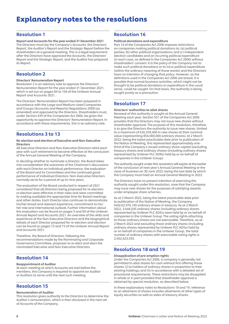## Explanatory notes to the resolutions

## Resolution 1

Report and Accounts for the year ended 31 December 2021 The Directors must lay the Company's Accounts, the Directors' Report, the Auditor's Report and the Strategic Report before the shareholders at a general meeting. This is a legal requirement after the Directors have approved the Accounts, the Directors' Report and the Strategic Report, and the Auditor has prepared its Report.

## Resolution 2

#### Directors' Remuneration Report

Resolution 2 is an advisory vote to approve the Directors' Remuneration Report for the year ended 31 December 2021, which is set out on pages 84 to 104 of the Unilever Annual Report and Accounts 2021.

The Directors' Remuneration Report has been prepared in accordance with the Large and Medium-sized Companies and Groups (Accounts and Reports) Regulations 2008 (as amended) and approved by the Directors. Shareholders must, under Section 439 of the Companies Act 2006, be given the opportunity to approve the Directors' Remuneration Report. In accordance with these requirements, this is an advisory vote.

## Resolutions 3 to 13

#### Re-election and election of Executive and Non-Executive Directors

All Executive Directors and Non-Executive Directors retire each year with such retirement to become effective at the conclusion of the Annual General Meeting of the Company.

In deciding whether to nominate a Director, the Board takes into consideration the outcomes of the Chairman's discussions with each Director on individual performance, the evaluation of the Board and its Committees and the continued good performance of individual Directors. Non-Executive Directors normally serve for a period of up to nine years.

The evaluation of the Board conducted in respect of 2021 considered that all Directors being proposed for re-election or election were effective in their roles and were committed to making available the appropriate time for Board meetings and other duties. Each Director also continues to demonstrate his/her broad and relevant experience, commitment to his/ her role and international outlook. Further information about the evaluation can be found on pages 5 and 69 of the Unilever Annual Report and Accounts 2021. An overview of the skills and experience of the Non-Executive Directors and the biographical details of each Director proposed for re-election and election can be found on pages 72 and 73 of the Unilever Annual Report and Accounts 2021.

Therefore, the Board of Directors, following the recommendations made by the Nominating and Corporate Governance Committee, proposes to re-elect and elect the nominated Executive and Non-Executive Directors.

## Resolution 14

#### Reappointment of Auditor

At each meeting at which Accounts are laid before the members, the Company is required to appoint an Auditor or Auditors to serve until the next such meeting.

## Resolution 15

#### Remuneration of Auditor

This resolution gives authority to the Directors to determine the Auditor's remuneration, which is then disclosed in the next set of Accounts of the Company.

## Resolution 16

#### Political donations and expenditure

Part 14 of the Companies Act 2006 imposes restrictions on companies making political donations to: (a) political parties; (b) other political organisations; and (c) independent election candidates and on incurring political expenditure (in each case, as defined in the Companies Act 2006) without shareholders' consent. It is the policy of the Company not to make such political donations or to incur political expenditure (within the ordinary meaning of those words) and the Directors have no intention of changing that policy. However, as the definitions used in the Companies Act 2006 are broad, it is possible that normal business activities, which might not be thought to be political donations or expenditure in the usual sense, could be caught. On that basis, the authority is being sought purely as a precaution.

## Resolution 17

#### Directors' authorities to allot shares

Renewal of this authority is sought at the Annual General Meeting each year. Section 551 of the Companies Act 2006 provides that the Directors may not issue new shares without shareholder approval. The purpose of this resolution, therefore, is to give the Directors the authority to issue new shares, limited to a maximum of £26,559,400 in new shares at their nominal value (representing 854,000,000 ordinary shares). At 2 March 2022, being the latest practicable date prior to publication of the Notice of Meeting, this represented approximately onethird of the Company's issued ordinary share capital (excluding treasury shares and ordinary shares (including ordinary shares represented by Unilever PLC ADRs) held by or on behalf of companies in the Unilever Group).

The authority sought under this resolution will expire at the earlier of the conclusion of next year's Annual General Meeting or the close of business on 30 June 2023, being the last date by which the Company must hold an Annual General Meeting in 2023.

The Directors have no present intention of exercising the authority sought under this resolution, save that the Company may issue new shares for the purposes of satisfying awards under employee share schemes.

As at 2 March 2022, being the latest practicable date prior to publication of the Notice of Meeting, the Company held 62,976,145 ordinary shares in treasury. As at 2 March 2022, 3,644,035 ordinary shares (including ordinary shares represented by Unilever PLC ADSs) were held by or on behalf of companies in the Unilever Group. The voting rights attaching to those ordinary shares are not exercisable. Therefore, as at 2 March 2022 and excluding those ordinary shares (including ordinary shares represented by Unilever PLC ADSs) held by or on behalf of companies in the Unilever Group, the total number of ordinary shares with exercisable voting rights is 2,562,623,592.

## Resolutions 18 and 19

#### Disapplication of pre-emption rights

Under the Companies Act 2006, a company is generally not permitted to allot shares for cash without first offering those shares: (i) to holders of ordinary shares in proportion to their existing holdings; and (ii) in accordance with a detailed set of procedural requirements. These restrictions may be disapplied in whole or in part provided that shareholder approval is obtained by special resolution, as described below.

In these explanatory notes to Resolutions 18 and 19, reference to an allotment of shares includes allotments of other types of equity securities as well as sales of treasury shares.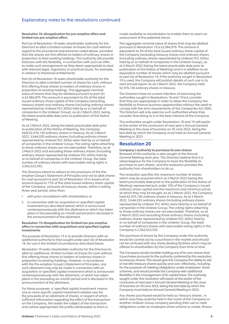## Explanatory notes to the resolutions continued

#### Resolution 18: disapplication for pre-emptive offers and limited non pre-emptive offers

Part (a) of Resolution 18 seeks shareholder authority for the Directors to allot a limited number of shares for cash without regard to the procedural requirements noted above, provided that the shares are first offered to holders of ordinary shares in proportion to their existing holdings. This authority will provide Directors with the flexibility, in connection with such an offer, to make such arrangements as they deem appropriate to deal with relevant legal, regulatory or practical issues, for example, in relation to fractional entitlements.

Part (b) of Resolution 18 seeks shareholder authority for the Directors to allot a limited number of shares for cash, without first offering those shares to holders of ordinary shares in proportion to existing holdings. The aggregate nominal value of shares that may be allotted pursuant to part (b) is £3,984,879. This amount is equivalent to 5% of the total issued ordinary share capital of the Company (excluding treasury shares and ordinary shares (including ordinary shares represented by Unilever PLC ADSs) held by or on behalf of companies in the Unilever Group), as at 2 March 2022, being the latest practicable date prior to publication of the Notice of Meeting.

As at 2 March 2022, being the latest practicable date prior to publication of the Notice of Meeting, the Company held 62,976,145 ordinary shares in treasury. As at 2 March 2022, 3,644,035 ordinary shares (including ordinary shares represented by Unilever PLC ADSs) were held by or on behalf of companies in the Unilever Group. The voting rights attaching to those ordinary shares are not exercisable. Therefore, as at 2 March 2022 and excluding those ordinary shares (including ordinary shares represented by Unilever PLC ADSs) held by or on behalf of companies in the Unilever Group, the total number of ordinary shares with exercisable voting rights is 2,562,623,592.

The Directors intend to adhere to the provisions of the Preemption Group's Statement of Principles and not to allot shares for cash pursuant to part (b) of Resolution 18 in excess of an amount equal to 7.5% of the total issued ordinary share capital of the Company, exclusive of treasury shares, within a rolling three-year period, other than:

- with prior consultation with shareholders; or
- ii in connection with an acquisition or specified capital investment (as described below) which is announced contemporaneously with the allotment or which has taken place in the preceding six-month period and is disclosed in the announcement of the allotment.

#### Resolution 19: disapplication for limited non pre-emptive offers in connection with acquisitions and specified capital investments

The purpose of Resolution 19 is to provide Directors with an additional authority to that sought under part (b) of Resolution 18, for use in the limited circumstances described below.

Resolution 19 seeks shareholder authority for the Directors to allot an additional, limited number of shares for cash,without first offering those shares to holders of ordinary shares in proportion to existing holdings. However, in accordance with the Pre-emption Group's Statement of Principles, any such allotment may only be made in connection with an acquisition or specified capital investment which is announced contemporaneously with the allotment, or which has taken place in the preceding six-month period and is disclosed in the announcement of the allotment.

For these purposes, a 'specified capital investment' means one or more specific capital investment related uses for the proceeds of an allotment of shares, in respect of which sufficient information regarding the effect of the transaction on the Company, the assets the subject of the transaction and (where appropriate) the profits attributable to them is

made available to shareholders to enable them to reach an assessment of the potential return.

The aggregate nominal value of shares that may be allotted pursuant to Resolution 19 is £3,984,879. This amount is equivalent to 5% of the total issued ordinary share capital of the Company (excluding treasury shares and ordinary shares (including ordinary shares represented by Unilever PLC ADSs) held by or on behalf of companies in the Unilever Group), as at 2 March 2022 (being the latest practicable date prior to publication of the Notice of Meeting) and is in addition to an equivalent number of shares which may be allotted pursuant to part (b) of Resolution 18. If the authority sought in Resolution 19 is used, the Company will publish details of such use in its next annual report. As at 2 March 2022, the Company held 62,976,145 ordinary shares in treasury.

The Directors have no current intention of exercising the authorities sought in Resolutions 18 and 19 but consider that they are appropriate in order to allow the Company the flexibility to finance business opportunities without the need to comply with the strict requirements of the Companies Act 2006. The Directors will only exercise such authorities where they consider that doing so is in the best interests of the Company.

The authorities sought under Resolutions 18 and 19 will expire at the earlier of the conclusion of next year's Annual General Meeting or the close of business on 30 June 2023, being the last date by which the Company must hold an Annual General Meeting in 2023.

## Resolution 20

Company's authority to purchase its own shares Renewal of this authority is also sought at the Annual General Meeting each year. The Directors believe that it is advantageous for the Company to have the flexibility to purchase its own shares, and this resolution provides the authority from shareholders to do so.

The resolution specifies the maximum number of shares which may be acquired which at 2 March 2022 (being the latest practicable date prior to the publication of this Notice of Meeting) represented just under 10% of the Company's issued ordinary share capital and the maximum and minimum prices at which they may be bought. As at 2 March 2022, the Company held 62,976,145 ordinary shares in treasury. As at 2 March 2022, 3,644,035 ordinary shares (including ordinary shares represented by Unilever PLC ADSs) were held by or on behalf of companies in the Unilever Group. The voting rights attaching to those ordinary shares are not exercisable. Therefore, as at 2 March 2022 and excluding those ordinary shares (including ordinary shares represented by Unilever PLC ADSs) held by or on behalf of companies in the Unilever Group, the total number of ordinary shares with exercisable voting rights in the Company is 2,562,623,592.

The purchase of shares by the Company under this authority would be carried out by a purchase in the market and should not be confused with any share dealing facilities which may be offered to shareholders by the Company from time to time.

The Company would consider holding any of its own shares that it purchases pursuant to the authority conferred by this resolution as treasury shares. This would give the Company the ability to sell or transfer treasury shares quickly and cost- effectively, including for the purposes of meeting obligations under employees' share schemes, and would provide the Company with additional flexibility in the management of its capital base. The authority sought under this resolution will expire at the earlier of the conclusion of next year's Annual General Meeting or the close of business on 30 June 2023, being the last date by which the Company must hold an Annual General Meeting in 2023.

Any shares purchased would be held as 'treasury shares', in which case they could be held in the name of the Company or another Unilever Group company pending their use to meet obligations under an employee share scheme or resale. Shares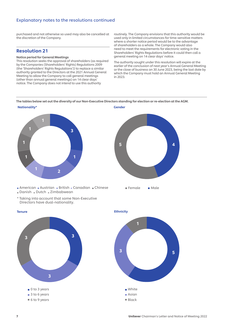## Explanatory notes to the resolutions continued

purchased and not otherwise so used may also be cancelled at the discretion of the Company.

## Resolution 21

#### Notice period for General Meetings

This resolution seeks the approval of shareholders (as required by the Companies (Shareholders' Rights) Regulations 2009 (the 'Shareholders' Rights Regulations')) to replace a similar authority granted to the Directors at the 2021 Annual General Meeting to allow the Company to call general meetings (other than annual general meetings) on 14 clear days' notice. The Company does not intend to use this authority

routinely. The Company envisions that this authority would be used only in limited circumstances for time-sensitive matters where a shorter notice period would be to the advantage of shareholders as a whole. The Company would also need to meet the requirements for electronic voting in the Shareholders' Rights Regulations before it could then call a general meeting on 14 clear days' notice.

The authority sought under this resolution will expire at the earlier of the conclusion of next year's Annual General Meeting or the close of business on 30 June 2023, being the last date by which the Company must hold an Annual General Meeting in 2023.

The tables below set out the diversity of our Non-Executive Directors standing for election or re-election at the AGM.

**Gender** 



American Austrian British Canadian Chinese Danish Dutch Zimbabwean

\* Taking into account that some Non-Executive Directors have dual-nationality.

3

 $\Box$  0 to 3 years ■ 3 to 6 years ■ 6 to 9 years



5 4

3 3 ■ Black

**Tenure**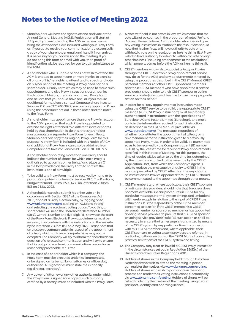## Notes to the Notice of Meeting 2022

- 1. Shareholders will have the right to attend and vote at the Annual General Meeting (AGM). Registration will start at 1.45pm. If you are attending the AGM in person please bring the Attendance Card included within your Proxy Form or, if you opt to receive your communications electronically, a copy of your shareholder email and hand it in on arrival. It is necessary for your admission to the meeting. If you do not bring this form or email with you, then proof of identification will be required for you to gain admittance to the AGM.
- 2. A shareholder who is unable or does not wish to attend the AGM is entitled to appoint one or more Proxies to exercise all or any of his/her rights to attend and to speak and vote on his/her behalf at the meeting. A Proxy need not be a shareholder. A Proxy Form which may be used to make such appointment and give Proxy instructions accompanies this Notice of Meeting. If you do not have a Proxy Form and believe that you should have one, or if you require additional forms, please contact Computershare Investor Services PLC on 0370 600 3977. You can only appoint a Proxy using the procedures set out in these notes and the notes to the Proxy Form.
- 3. A shareholder may appoint more than one Proxy in relation to the AGM, provided that each Proxy is appointed to exercise the rights attached to a different share or shares held by that shareholder. To do this, that shareholder must complete a separate Proxy Form for each Proxy. Shareholders can copy their original Proxy Form for this purpose. A proxy form is included with this Notice of AGM and additional Proxy Forms can also be obtained from Computershare Investor Services PLC on 0370 600 3977.

 A shareholder appointing more than one Proxy should indicate the number of shares for which each Proxy is authorised to act on his or her behalf and place an 'X' in the box provided on the Proxy Form to confirm the instruction is one of a multiple.

- 4. To be valid any Proxy Form must be received by hand or by post at Computershare Investor Services PLC, The Pavilions, Bridgwater Road, Bristol BS99 6ZY, no later than 2.30pm BST on 2 May 2022.
- 5. A shareholder can also submit his or her vote or, in accordance with Section 333A of the Companies Act 2006, appoint a Proxy electronically, by logging on to www.unilever.com/agm, clicking on 'AGM and Voting' and selecting the electronic voting option. To do this, a shareholder will need the Shareholder Reference Number (SRN), Control Number and five-digit PIN shown on the front of the Proxy Form. Electronic Proxy appointments must be received, in accordance with the instructions on the website, by no later than 2.30pm BST on 2 May 2022. Please note that an electronic communication in respect of the appointment of a Proxy which contains a computer virus may not be accepted. The Company will try to inform the shareholder in question of a rejected communication and will try to ensure that its outgoing electronic communications are, as far as reasonably practicable, virus free.
- 6. In the case of a shareholder which is a company, the Proxy Form must be executed under its common seal or be signed on its behalf by an attorney or officer duly authorised. All signatories must state their capacity (eg director, secretary).
- 7. Any power of attorney or any other authority under which the Proxy Form is signed (or a copy of such authority certified by a notary) must be included with the Proxy Form.
- 8. A 'Vote withheld' is not a vote in law, which means that the vote will not be counted in the proportion of votes 'For' and 'Against' the resolutions. A shareholder who does not give any voting instructions in relation to the resolutions should note that his/her Proxy will have authority to vote or to withhold a vote on the resolution as he/she thinks fit. A Proxy will also have authority to vote or to withhold a vote on any other business (including amendments to the resolutions) which properly comes before the AGM as he/she thinks fit.
- 9. CREST members who wish to appoint a Proxy or Proxies through the CREST electronic proxy appointment service may do so for the AGM and any adjournment(s) thereof by using the procedures described in the CREST Manual. CREST personal members or other CREST sponsored members, and those CREST members who have appointed a service provider(s), should refer to their CREST sponsor or voting service provider(s), who will be able to take the appropriate action on their behalf.
- 10. In order for a Proxy appointment or instruction made using the CREST service to be valid, the appropriate CREST message (a 'CREST Proxy Instruction') must be properly authenticated in accordance with the specifications of Euroclear UK and Ireland Limited (Euroclear), and must contain the information required for such instruction, as described in the CREST Manual (available via www. euroclear.com). The message, regardless of whether it constitutes the appointment of a Proxy or is an amendment to the instruction given to a previously appointed Proxy, must, in order to be valid, be transmitted so as to be received by the Company's agent (ID number 3RA50) by the latest time for receipt of Proxy appointments specified in this Notice of Meeting. For this purpose, the time of receipt will be taken to be the time (as determined by the timestamp applied to the message by the CREST Application Host) from which the Company's agent is able to retrieve the message by enquiry to CREST in the manner prescribed by CREST. After this time any change of instructions to Proxies appointed through CREST should be communicated to the appointee through other means.
- 11. CREST members and, where applicable, their CREST sponsors or voting service providers, should note that Euroclear does not make available special procedures in CREST for any particular message. Normal system timings and limitations will therefore apply in relation to the input of CREST Proxy Instructions. It is the responsibility of the CREST member concerned to take (or, if the CREST member is a CREST personal member, or sponsored member or has appointed a voting service provider, to procure that his CREST sponsor or voting service provider(s) take(s)) such action as shall be necessary to ensure that a message is transmitted by means of the CREST system by any particular time. In connection with this, CREST members and, where applicable, their CREST sponsors or voting system providers are referred, in particular, to those sections of the CREST Manual concerning practical limitations of the CREST system and timing.
- 12. The Company may treat as invalid a CREST Proxy Instruction in the circumstances set out in Regulation  $35(5)(a)$  of the Uncertificated Securities Regulations 2001.
- 13. Holders of shares in the Company held through Euroclear Nederland who wish to attend the meeting in person can register themselves via www.abnamro.com/evoting. Holders of shares who wish to participate in the voting process can render their voting instructions electronically via www.abnamro.com/evoting. Holders of shares will be asked to identify themselves at the meeting using a valid passport, identity card or driving licence.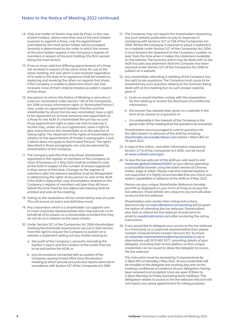## Notes to the Notice of Meeting 2022 continued

- 14. Only one holder of shares may vote by Proxy. In the case of joint holders, where more than one of the joint holders purports to appoint a Proxy, only the appointment submitted by the most senior holder will be accepted. Seniority is determined by the order in which the names of the joint holders appear in the Company's register of members in respect of the joint holding (the first-named being the most senior).
- 15. If two or more valid but differing appointments of a Proxy are received in respect of the same share for use at the same meeting, the one which is last received (regardless of its date or the date of its signature) shall be treated as replacing and revoking the others as regards that share; if the Company is unable to determine which was last received, none of them shall be treated as valid in respect of that share.
- 16. Any person to whom this Notice of Meeting is sent who is a person nominated under Section 146 of the Companies Act 2006 to enjoy information rights (a 'Nominated Person') may, under an agreement between him/her and the shareholder by whom he/she was nominated, have a right to be appointed (or to have someone else appointed) as a Proxy for the AGM. If a Nominated Person has no such Proxy appointment right or does not wish to exercise it, he/she may, under any such agreement, have a right to give instructions to the shareholder as to the exercise of voting rights. The statement of the rights of shareholders in relation to the appointment of Proxies in paragraphs 2 and 3 above does not apply to Nominated Persons. The rights described in those paragraphs can only be exercised by shareholders of the Company.
- 17. The Company specifies that only those shareholders registered in the register of members of the Company at close of business on 2 May 2022 shall be entitled to vote at the AGM in respect of the number of shares registered in their name at that time. Changes to the register of members after the relevant deadline shall be disregarded in determining the rights of any person to vote at the AGM. If the AGM is adjourned, only shareholders entered on the Company's register of members not later than 48 hours before the time fixed for the adjourned meeting shall be entitled and vote at the meeting.
- 18. Voting on the resolutions will be conducted by way of a poll. This will ensure an exact and definitive result.
- 19. Any corporation which is a shareholder can appoint one or more corporate representatives who may exercise on its behalf all of its powers as a shareholder provided that they do not do so in relation to the same shares.
- 20. Under Section 527 of the Companies Act 2006 shareholders meeting the threshold requirements set out in that Section have the right to require the Company to publish on a website a statement setting out any matter relating to:
	- a the audit of the Company's accounts (including the auditor's report and the conduct of the audit) that are to be laid before the AGM; or
	- b any circumstance connected with an auditor of the Company ceasing to hold office since the previous meeting at which annual accounts and reports were laid in accordance with Section 437 of the Companies Act 2006.
- 21. The Company may not require the shareholders requesting any such website publication to pay its expenses in complying with Sections 527 or 528 of the Companies Act 2006. Where the Company is required to place a statement on a website under Section 527 of the Companies Act 2006, it must forward the statement to the Company's auditor no later than the time when it makes the statement available on the website. The business which may be dealt with at the AGM includes any statement that the Company has been required under Section 527 of the Companies Act 2006 to publish on a website.
- 22. Any shareholder attending a meeting of the Company has the right to ask questions. The Company must cause to be answered any such question relating to the business being dealt with at the meeting but no such answer need be given if:
	- a to do so would interfere unduly with the preparation for the meeting or involve the disclosure of confidential information;
	- b the answer has already been given on a website in the form of an answer to a question; or
	- c it is undesirable in the interests of the Company or the good order of the meeting that the questions be answered.

 Shareholders are encouraged to submit questions for the Q&A session in advance of the AGM by emailing shareholder.services@unilever.com before 1.00pm BST on 29 April 2022.

- 23. A copy of this notice, and other information required by Section 311A of the Companies Act 2006, can be found at www.unilever.com/agm.
- 24. To view the live webcast of the AGM you will need to visit meetnow.global/UnileverAGM22 on your device operating a compatible browser using the latest version of Chrome, Firefox, Edge or Safari. Please note that Internet Explorer is not supported. It is highly recommended that you check your system capabilities in advance of the AGM on 4 May 2022.

 Please use your unique Shareholder Reference Number and PIN as displayed on your Form of Proxy to access the live webcast. These details are unique to you and will allow access to the live webcast.

 Shareholders who render their voting instructions electronically via www.abnamro.com/evoting will be given the option of attending the live webcast. Shareholders who wish to attend the live webcast should send an email to ava@nl.abnamro.com after rendering the voting instructions.

25. If you would like to delegate your access to the live webcast to a third party or a corporate representative then please contact Computershare Investor Services PLC by email at corporate-representatives@computershare.co.uk or alternatively call 0370 600 3977, providing details of your delegate, including their email address so that unique credentials can be issued to allow the delegate to access the live webcast.

 This instruction must be received by Computershare by 2.30pm BST on Monday 2 May 2022. Access credentials will be emailed to the delegate one working day prior to the meeting conditional on evidence of your delegation having been received and accepted. Lines are open 8.30am to 5.30pm Monday to Friday (excluding bank holidays). This delegation relates to access to the live webcast only and will not impact your proxy appointment for voting purposes.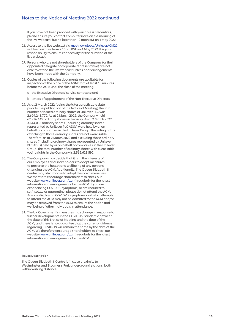### Notes to the Notice of Meeting 2022 continued

 If you have not been provided with your access credentials, please ensure you contact Computershare on the morning of the live webcast, but no later than 12 noon BST on 4 May 2022.

- 26. Access to the live webcast via meetnow.global/UnileverAGM22 will be available from 2.15pm BST on 4 May 2022. It is your responsibility to ensure connectivity for the duration of the live webcast.
- 27. Persons who are not shareholders of the Company (or their appointed delegate or corporate representative) are not able to attend the live webcast unless prior arrangements have been made with the Company.
- 28. Copies of the following documents are available for inspection at the place of the AGM from at least 15 minutes
	- a the Executive Directors' service contracts; and
	- b letters of appointment of the Non-Executive Directors.
- 29. As at 2 March 2022 (being the latest practicable date prior to the publication of the Notice of Meeting) the total number of issued ordinary shares of Unilever PLC was 2,629,243,772. As at 2 March 2022, the Company held 62,976,145 ordinary shares in treasury. As at 2 March 2022, 3,644,035 ordinary shares (including ordinary shares represented by Unilever PLC ADSs) were held by or on behalf of companies in the Unilever Group. The voting rights attaching to those ordinary shares are not exercisable. Therefore, as at 2 March 2022 and excluding those ordinary shares (including ordinary shares represented by Unilever PLC ADSs) held by or on behalf of companies in the Unilever Group, the total number of ordinary shares with exercisable voting rights in the Company is 2,562,623,592.
- 30. The Company may decide that it is in the interests of our employees and shareholders to adopt measures to preserve the health and wellbeing of any persons attending the AGM. Additionally, The Queen Elizabeth II Centre may also choose to adopt their own measures. We therefore encourage shareholders to check our website (www.unilever.com/agm) regularly for the latest information on arrangements for the AGM. If you are experiencing COVID-19 symptoms, or are required to self-isolate or quarantine, please do not attend the AGM. Anyone displaying COVID-19 symptoms and who attempts to attend the AGM may not be admitted to the AGM and/or may be removed from the AGM to ensure the health and wellbeing of other individuals in attendance.
- 31. The UK Government's measures may change in response to further developments in the COVID-19 pandemic between the date of this Notice of Meeting and the date of the AGM, and there is no guarantee that the current guidance regarding COVID-19 will remain the same by the date of the AGM. We therefore encourage shareholders to check our website (www.unilever.com/agm) regularly for the latest information on arrangements for the AGM.

#### Route Description

The Queen Elizabeth II Centre is in close proximity to Westminster and St James's Park underground stations, both within walking distance.